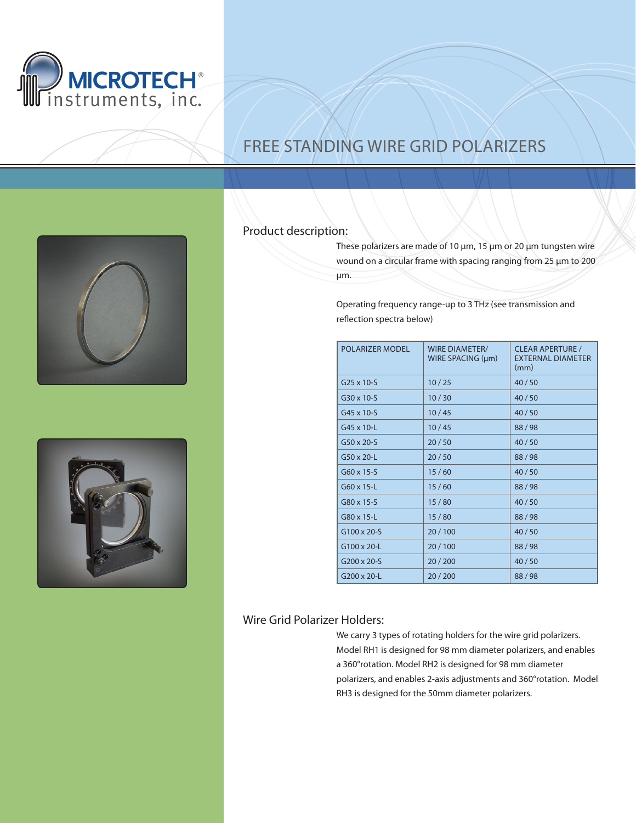

## Free Standing Wire Grid Polarizers





## Product description:

These polarizers are made of 10 μm, 15 μm or 20 μm tungsten wire wound on a circular frame with spacing ranging from 25 μm to 200 μm.

Operating frequency range-up to 3 THz (see transmission and reflection spectra below)

| <b>POLARIZER MODEL</b> | <b>WIRE DIAMETER/</b><br>WIRE SPACING $(\mu m)$ | <b>CLEAR APERTURE /</b><br><b>EXTERNAL DIAMETER</b><br>(mm) |
|------------------------|-------------------------------------------------|-------------------------------------------------------------|
| $G25 \times 10-S$      | 10/25                                           | 40/50                                                       |
| $G30 \times 10-S$      | 10/30                                           | 40/50                                                       |
| G45 x 10-S             | 10/45                                           | 40/50                                                       |
| G45 x 10-L             | 10/45                                           | 88/98                                                       |
| $G50 \times 20-S$      | 20/50                                           | 40/50                                                       |
| $G50 \times 20 - L$    | 20/50                                           | 88/98                                                       |
| $G60 \times 15-S$      | 15/60                                           | 40/50                                                       |
| G60 x 15-L             | 15/60                                           | 88/98                                                       |
| G80 x 15-S             | 15/80                                           | 40/50                                                       |
| G80 x 15-L             | 15/80                                           | 88/98                                                       |
| $G100 \times 20-S$     | 20/100                                          | 40/50                                                       |
| G100 x 20-L            | 20/100                                          | 88/98                                                       |
| $G200 \times 20-S$     | 20/200                                          | 40/50                                                       |
| G200 x 20-L            | 20/200                                          | 88/98                                                       |

## Wire Grid Polarizer Holders:

We carry 3 types of rotating holders for the wire grid polarizers. Model RH1 is designed for 98 mm diameter polarizers, and enables a 360°rotation. Model RH2 is designed for 98 mm diameter polarizers, and enables 2-axis adjustments and 360°rotation. Model RH3 is designed for the 50mm diameter polarizers.